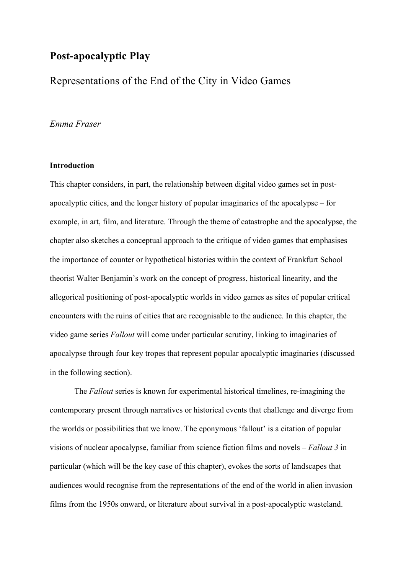## **Post-apocalyptic Play**

# Representations of the End of the City in Video Games

## *Emma Fraser*

### **Introduction**

This chapter considers, in part, the relationship between digital video games set in postapocalyptic cities, and the longer history of popular imaginaries of the apocalypse – for example, in art, film, and literature. Through the theme of catastrophe and the apocalypse, the chapter also sketches a conceptual approach to the critique of video games that emphasises the importance of counter or hypothetical histories within the context of Frankfurt School theorist Walter Benjamin's work on the concept of progress, historical linearity, and the allegorical positioning of post-apocalyptic worlds in video games as sites of popular critical encounters with the ruins of cities that are recognisable to the audience. In this chapter, the video game series *Fallout* will come under particular scrutiny, linking to imaginaries of apocalypse through four key tropes that represent popular apocalyptic imaginaries (discussed in the following section).

The *Fallout* series is known for experimental historical timelines, re-imagining the contemporary present through narratives or historical events that challenge and diverge from the worlds or possibilities that we know. The eponymous 'fallout' is a citation of popular visions of nuclear apocalypse, familiar from science fiction films and novels – *Fallout 3* in particular (which will be the key case of this chapter), evokes the sorts of landscapes that audiences would recognise from the representations of the end of the world in alien invasion films from the 1950s onward, or literature about survival in a post-apocalyptic wasteland.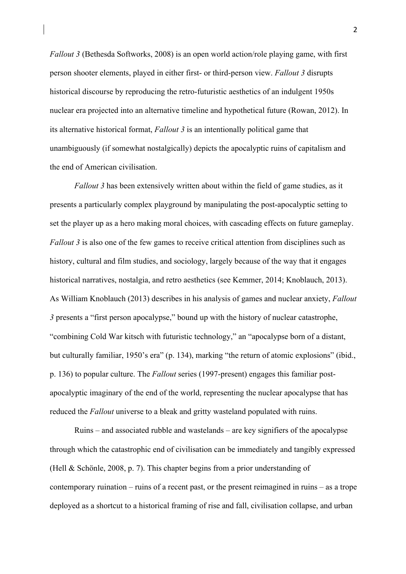*Fallout 3* (Bethesda Softworks, 2008) is an open world action/role playing game, with first person shooter elements, played in either first- or third-person view. *Fallout 3* disrupts historical discourse by reproducing the retro-futuristic aesthetics of an indulgent 1950s nuclear era projected into an alternative timeline and hypothetical future (Rowan, 2012). In its alternative historical format, *Fallout 3* is an intentionally political game that unambiguously (if somewhat nostalgically) depicts the apocalyptic ruins of capitalism and the end of American civilisation.

*Fallout 3* has been extensively written about within the field of game studies, as it presents a particularly complex playground by manipulating the post-apocalyptic setting to set the player up as a hero making moral choices, with cascading effects on future gameplay. *Fallout 3* is also one of the few games to receive critical attention from disciplines such as history, cultural and film studies, and sociology, largely because of the way that it engages historical narratives, nostalgia, and retro aesthetics (see Kemmer, 2014; Knoblauch, 2013). As William Knoblauch (2013) describes in his analysis of games and nuclear anxiety, *Fallout 3* presents a "first person apocalypse," bound up with the history of nuclear catastrophe, "combining Cold War kitsch with futuristic technology," an "apocalypse born of a distant, but culturally familiar, 1950's era" (p. 134), marking "the return of atomic explosions" (ibid., p. 136) to popular culture. The *Fallout* series (1997-present) engages this familiar postapocalyptic imaginary of the end of the world, representing the nuclear apocalypse that has reduced the *Fallout* universe to a bleak and gritty wasteland populated with ruins.

Ruins – and associated rubble and wastelands – are key signifiers of the apocalypse through which the catastrophic end of civilisation can be immediately and tangibly expressed (Hell & Schönle, 2008, p. 7). This chapter begins from a prior understanding of contemporary ruination – ruins of a recent past, or the present reimagined in ruins – as a trope deployed as a shortcut to a historical framing of rise and fall, civilisation collapse, and urban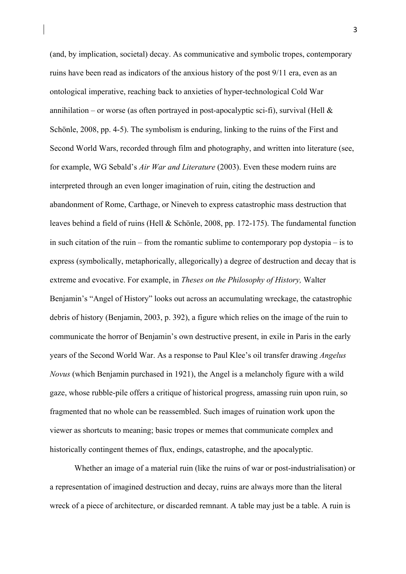(and, by implication, societal) decay. As communicative and symbolic tropes, contemporary ruins have been read as indicators of the anxious history of the post 9/11 era, even as an ontological imperative, reaching back to anxieties of hyper-technological Cold War annihilation – or worse (as often portrayed in post-apocalyptic sci-fi), survival (Hell  $\&$ Schönle, 2008, pp. 4-5). The symbolism is enduring, linking to the ruins of the First and Second World Wars, recorded through film and photography, and written into literature (see, for example, WG Sebald's *Air War and Literature* (2003). Even these modern ruins are interpreted through an even longer imagination of ruin, citing the destruction and abandonment of Rome, Carthage, or Nineveh to express catastrophic mass destruction that leaves behind a field of ruins (Hell & Schönle, 2008, pp. 172-175). The fundamental function in such citation of the ruin – from the romantic sublime to contemporary pop dystopia – is to express (symbolically, metaphorically, allegorically) a degree of destruction and decay that is extreme and evocative. For example, in *Theses on the Philosophy of History,* Walter Benjamin's "Angel of History" looks out across an accumulating wreckage, the catastrophic debris of history (Benjamin, 2003, p. 392), a figure which relies on the image of the ruin to communicate the horror of Benjamin's own destructive present, in exile in Paris in the early years of the Second World War. As a response to Paul Klee's oil transfer drawing *Angelus Novus* (which Benjamin purchased in 1921), the Angel is a melancholy figure with a wild gaze, whose rubble-pile offers a critique of historical progress, amassing ruin upon ruin, so fragmented that no whole can be reassembled. Such images of ruination work upon the viewer as shortcuts to meaning; basic tropes or memes that communicate complex and historically contingent themes of flux, endings, catastrophe, and the apocalyptic.

Whether an image of a material ruin (like the ruins of war or post-industrialisation) or a representation of imagined destruction and decay, ruins are always more than the literal wreck of a piece of architecture, or discarded remnant. A table may just be a table. A ruin is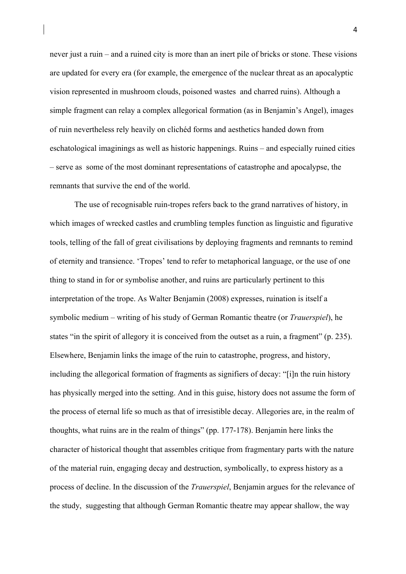never just a ruin – and a ruined city is more than an inert pile of bricks or stone. These visions are updated for every era (for example, the emergence of the nuclear threat as an apocalyptic vision represented in mushroom clouds, poisoned wastes and charred ruins). Although a simple fragment can relay a complex allegorical formation (as in Benjamin's Angel), images of ruin nevertheless rely heavily on clichéd forms and aesthetics handed down from eschatological imaginings as well as historic happenings. Ruins – and especially ruined cities – serve as some of the most dominant representations of catastrophe and apocalypse, the remnants that survive the end of the world.

The use of recognisable ruin-tropes refers back to the grand narratives of history, in which images of wrecked castles and crumbling temples function as linguistic and figurative tools, telling of the fall of great civilisations by deploying fragments and remnants to remind of eternity and transience. 'Tropes' tend to refer to metaphorical language, or the use of one thing to stand in for or symbolise another, and ruins are particularly pertinent to this interpretation of the trope. As Walter Benjamin (2008) expresses, ruination is itself a symbolic medium – writing of his study of German Romantic theatre (or *Trauerspiel*), he states "in the spirit of allegory it is conceived from the outset as a ruin, a fragment" (p. 235). Elsewhere, Benjamin links the image of the ruin to catastrophe, progress, and history, including the allegorical formation of fragments as signifiers of decay: "[i]n the ruin history has physically merged into the setting. And in this guise, history does not assume the form of the process of eternal life so much as that of irresistible decay. Allegories are, in the realm of thoughts, what ruins are in the realm of things" (pp. 177-178). Benjamin here links the character of historical thought that assembles critique from fragmentary parts with the nature of the material ruin, engaging decay and destruction, symbolically, to express history as a process of decline. In the discussion of the *Trauerspiel*, Benjamin argues for the relevance of the study, suggesting that although German Romantic theatre may appear shallow, the way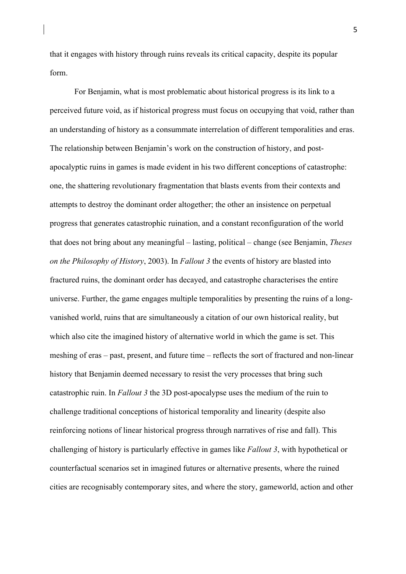that it engages with history through ruins reveals its critical capacity, despite its popular form.

For Benjamin, what is most problematic about historical progress is its link to a perceived future void, as if historical progress must focus on occupying that void, rather than an understanding of history as a consummate interrelation of different temporalities and eras. The relationship between Benjamin's work on the construction of history, and postapocalyptic ruins in games is made evident in his two different conceptions of catastrophe: one, the shattering revolutionary fragmentation that blasts events from their contexts and attempts to destroy the dominant order altogether; the other an insistence on perpetual progress that generates catastrophic ruination, and a constant reconfiguration of the world that does not bring about any meaningful – lasting, political – change (see Benjamin, *Theses on the Philosophy of History*, 2003). In *Fallout 3* the events of history are blasted into fractured ruins, the dominant order has decayed, and catastrophe characterises the entire universe. Further, the game engages multiple temporalities by presenting the ruins of a longvanished world, ruins that are simultaneously a citation of our own historical reality, but which also cite the imagined history of alternative world in which the game is set. This meshing of eras – past, present, and future time – reflects the sort of fractured and non-linear history that Benjamin deemed necessary to resist the very processes that bring such catastrophic ruin. In *Fallout 3* the 3D post-apocalypse uses the medium of the ruin to challenge traditional conceptions of historical temporality and linearity (despite also reinforcing notions of linear historical progress through narratives of rise and fall). This challenging of history is particularly effective in games like *Fallout 3*, with hypothetical or counterfactual scenarios set in imagined futures or alternative presents, where the ruined cities are recognisably contemporary sites, and where the story, gameworld, action and other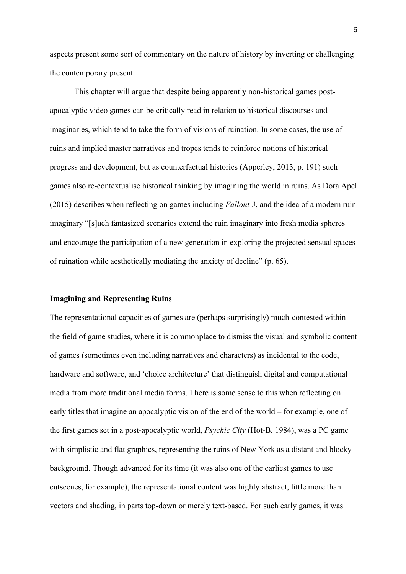aspects present some sort of commentary on the nature of history by inverting or challenging the contemporary present.

This chapter will argue that despite being apparently non-historical games postapocalyptic video games can be critically read in relation to historical discourses and imaginaries, which tend to take the form of visions of ruination. In some cases, the use of ruins and implied master narratives and tropes tends to reinforce notions of historical progress and development, but as counterfactual histories (Apperley, 2013, p. 191) such games also re-contextualise historical thinking by imagining the world in ruins. As Dora Apel (2015) describes when reflecting on games including *Fallout 3*, and the idea of a modern ruin imaginary "[s]uch fantasized scenarios extend the ruin imaginary into fresh media spheres and encourage the participation of a new generation in exploring the projected sensual spaces of ruination while aesthetically mediating the anxiety of decline" (p. 65).

#### **Imagining and Representing Ruins**

The representational capacities of games are (perhaps surprisingly) much-contested within the field of game studies, where it is commonplace to dismiss the visual and symbolic content of games (sometimes even including narratives and characters) as incidental to the code, hardware and software, and 'choice architecture' that distinguish digital and computational media from more traditional media forms. There is some sense to this when reflecting on early titles that imagine an apocalyptic vision of the end of the world – for example, one of the first games set in a post-apocalyptic world, *Psychic City* (Hot-B, 1984), was a PC game with simplistic and flat graphics, representing the ruins of New York as a distant and blocky background. Though advanced for its time (it was also one of the earliest games to use cutscenes, for example), the representational content was highly abstract, little more than vectors and shading, in parts top-down or merely text-based. For such early games, it was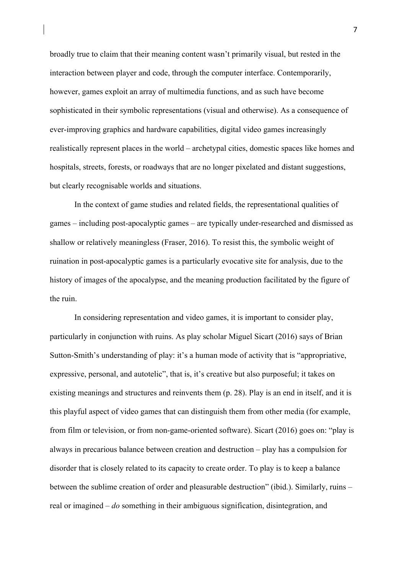broadly true to claim that their meaning content wasn't primarily visual, but rested in the interaction between player and code, through the computer interface. Contemporarily, however, games exploit an array of multimedia functions, and as such have become sophisticated in their symbolic representations (visual and otherwise). As a consequence of ever-improving graphics and hardware capabilities, digital video games increasingly realistically represent places in the world – archetypal cities, domestic spaces like homes and hospitals, streets, forests, or roadways that are no longer pixelated and distant suggestions, but clearly recognisable worlds and situations.

In the context of game studies and related fields, the representational qualities of games – including post-apocalyptic games – are typically under-researched and dismissed as shallow or relatively meaningless (Fraser, 2016). To resist this, the symbolic weight of ruination in post-apocalyptic games is a particularly evocative site for analysis, due to the history of images of the apocalypse, and the meaning production facilitated by the figure of the ruin.

In considering representation and video games, it is important to consider play, particularly in conjunction with ruins. As play scholar Miguel Sicart (2016) says of Brian Sutton-Smith's understanding of play: it's a human mode of activity that is "appropriative, expressive, personal, and autotelic", that is, it's creative but also purposeful; it takes on existing meanings and structures and reinvents them (p. 28). Play is an end in itself, and it is this playful aspect of video games that can distinguish them from other media (for example, from film or television, or from non-game-oriented software). Sicart (2016) goes on: "play is always in precarious balance between creation and destruction – play has a compulsion for disorder that is closely related to its capacity to create order. To play is to keep a balance between the sublime creation of order and pleasurable destruction" (ibid.). Similarly, ruins – real or imagined – *do* something in their ambiguous signification, disintegration, and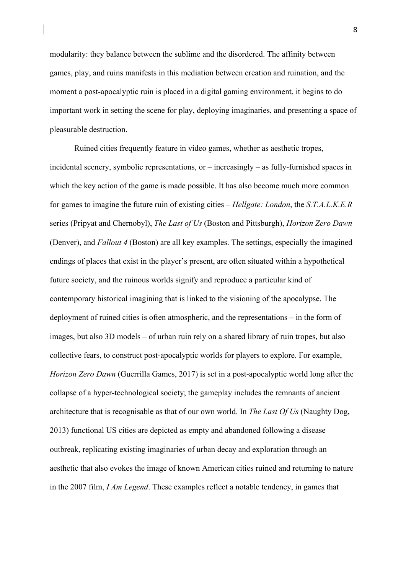modularity: they balance between the sublime and the disordered. The affinity between games, play, and ruins manifests in this mediation between creation and ruination, and the moment a post-apocalyptic ruin is placed in a digital gaming environment, it begins to do important work in setting the scene for play, deploying imaginaries, and presenting a space of pleasurable destruction.

Ruined cities frequently feature in video games, whether as aesthetic tropes, incidental scenery, symbolic representations, or – increasingly – as fully-furnished spaces in which the key action of the game is made possible. It has also become much more common for games to imagine the future ruin of existing cities – *Hellgate: London*, the *S.T.A.L.K.E.R* series (Pripyat and Chernobyl), *The Last of Us* (Boston and Pittsburgh), *Horizon Zero Dawn* (Denver), and *Fallout 4* (Boston) are all key examples. The settings, especially the imagined endings of places that exist in the player's present, are often situated within a hypothetical future society, and the ruinous worlds signify and reproduce a particular kind of contemporary historical imagining that is linked to the visioning of the apocalypse. The deployment of ruined cities is often atmospheric, and the representations – in the form of images, but also 3D models – of urban ruin rely on a shared library of ruin tropes, but also collective fears, to construct post-apocalyptic worlds for players to explore. For example, *Horizon Zero Dawn* (Guerrilla Games, 2017) is set in a post-apocalyptic world long after the collapse of a hyper-technological society; the gameplay includes the remnants of ancient architecture that is recognisable as that of our own world. In *The Last Of Us* (Naughty Dog, 2013) functional US cities are depicted as empty and abandoned following a disease outbreak, replicating existing imaginaries of urban decay and exploration through an aesthetic that also evokes the image of known American cities ruined and returning to nature in the 2007 film, *I Am Legend*. These examples reflect a notable tendency, in games that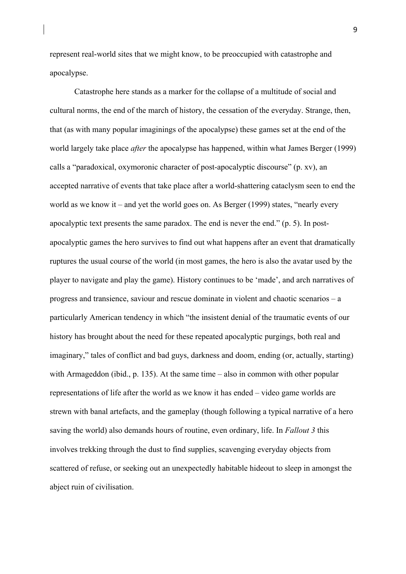represent real-world sites that we might know, to be preoccupied with catastrophe and apocalypse.

Catastrophe here stands as a marker for the collapse of a multitude of social and cultural norms, the end of the march of history, the cessation of the everyday. Strange, then, that (as with many popular imaginings of the apocalypse) these games set at the end of the world largely take place *after* the apocalypse has happened, within what James Berger (1999) calls a "paradoxical, oxymoronic character of post-apocalyptic discourse" (p. xv), an accepted narrative of events that take place after a world-shattering cataclysm seen to end the world as we know it – and yet the world goes on. As Berger (1999) states, "nearly every apocalyptic text presents the same paradox. The end is never the end." (p. 5). In postapocalyptic games the hero survives to find out what happens after an event that dramatically ruptures the usual course of the world (in most games, the hero is also the avatar used by the player to navigate and play the game). History continues to be 'made', and arch narratives of progress and transience, saviour and rescue dominate in violent and chaotic scenarios – a particularly American tendency in which "the insistent denial of the traumatic events of our history has brought about the need for these repeated apocalyptic purgings, both real and imaginary," tales of conflict and bad guys, darkness and doom, ending (or, actually, starting) with Armageddon (ibid., p. 135). At the same time – also in common with other popular representations of life after the world as we know it has ended – video game worlds are strewn with banal artefacts, and the gameplay (though following a typical narrative of a hero saving the world) also demands hours of routine, even ordinary, life. In *Fallout 3* this involves trekking through the dust to find supplies, scavenging everyday objects from scattered of refuse, or seeking out an unexpectedly habitable hideout to sleep in amongst the abject ruin of civilisation.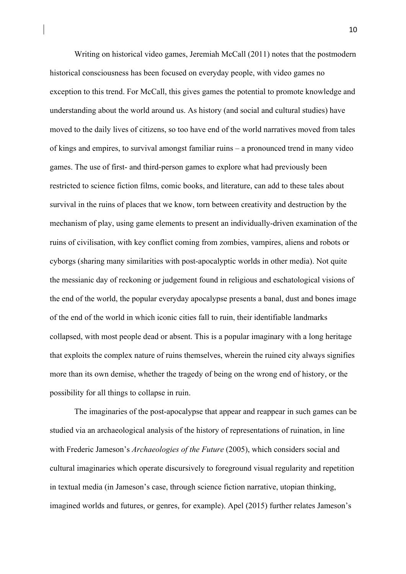Writing on historical video games, Jeremiah McCall (2011) notes that the postmodern historical consciousness has been focused on everyday people, with video games no exception to this trend. For McCall, this gives games the potential to promote knowledge and understanding about the world around us. As history (and social and cultural studies) have moved to the daily lives of citizens, so too have end of the world narratives moved from tales of kings and empires, to survival amongst familiar ruins – a pronounced trend in many video games. The use of first- and third-person games to explore what had previously been restricted to science fiction films, comic books, and literature, can add to these tales about survival in the ruins of places that we know, torn between creativity and destruction by the mechanism of play, using game elements to present an individually-driven examination of the ruins of civilisation, with key conflict coming from zombies, vampires, aliens and robots or cyborgs (sharing many similarities with post-apocalyptic worlds in other media). Not quite the messianic day of reckoning or judgement found in religious and eschatological visions of the end of the world, the popular everyday apocalypse presents a banal, dust and bones image of the end of the world in which iconic cities fall to ruin, their identifiable landmarks collapsed, with most people dead or absent. This is a popular imaginary with a long heritage that exploits the complex nature of ruins themselves, wherein the ruined city always signifies more than its own demise, whether the tragedy of being on the wrong end of history, or the possibility for all things to collapse in ruin.

The imaginaries of the post-apocalypse that appear and reappear in such games can be studied via an archaeological analysis of the history of representations of ruination, in line with Frederic Jameson's *Archaeologies of the Future* (2005), which considers social and cultural imaginaries which operate discursively to foreground visual regularity and repetition in textual media (in Jameson's case, through science fiction narrative, utopian thinking, imagined worlds and futures, or genres, for example). Apel (2015) further relates Jameson's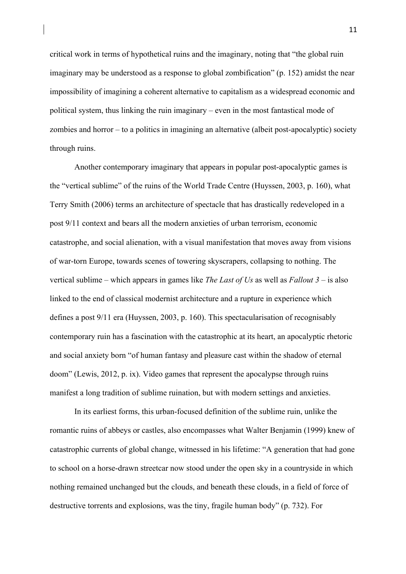critical work in terms of hypothetical ruins and the imaginary, noting that "the global ruin imaginary may be understood as a response to global zombification" (p. 152) amidst the near impossibility of imagining a coherent alternative to capitalism as a widespread economic and political system, thus linking the ruin imaginary – even in the most fantastical mode of zombies and horror – to a politics in imagining an alternative (albeit post-apocalyptic) society through ruins.

Another contemporary imaginary that appears in popular post-apocalyptic games is the "vertical sublime" of the ruins of the World Trade Centre (Huyssen, 2003, p. 160), what Terry Smith (2006) terms an architecture of spectacle that has drastically redeveloped in a post 9/11 context and bears all the modern anxieties of urban terrorism, economic catastrophe, and social alienation, with a visual manifestation that moves away from visions of war-torn Europe, towards scenes of towering skyscrapers, collapsing to nothing. The vertical sublime – which appears in games like *The Last of Us* as well as *Fallout 3 –* is also linked to the end of classical modernist architecture and a rupture in experience which defines a post 9/11 era (Huyssen, 2003, p. 160). This spectacularisation of recognisably contemporary ruin has a fascination with the catastrophic at its heart, an apocalyptic rhetoric and social anxiety born "of human fantasy and pleasure cast within the shadow of eternal doom" (Lewis, 2012, p. ix). Video games that represent the apocalypse through ruins manifest a long tradition of sublime ruination, but with modern settings and anxieties.

In its earliest forms, this urban-focused definition of the sublime ruin, unlike the romantic ruins of abbeys or castles, also encompasses what Walter Benjamin (1999) knew of catastrophic currents of global change, witnessed in his lifetime: "A generation that had gone to school on a horse-drawn streetcar now stood under the open sky in a countryside in which nothing remained unchanged but the clouds, and beneath these clouds, in a field of force of destructive torrents and explosions, was the tiny, fragile human body" (p. 732). For

11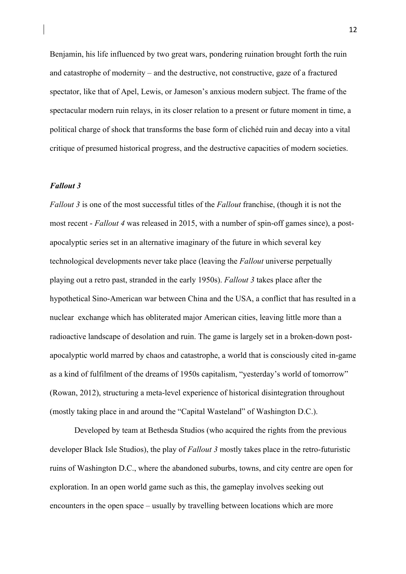Benjamin, his life influenced by two great wars, pondering ruination brought forth the ruin and catastrophe of modernity – and the destructive, not constructive, gaze of a fractured spectator, like that of Apel, Lewis, or Jameson's anxious modern subject. The frame of the spectacular modern ruin relays, in its closer relation to a present or future moment in time, a political charge of shock that transforms the base form of clichéd ruin and decay into a vital critique of presumed historical progress, and the destructive capacities of modern societies.

#### *Fallout 3*

*Fallout 3* is one of the most successful titles of the *Fallout* franchise, (though it is not the most recent - *Fallout 4* was released in 2015, with a number of spin-off games since), a postapocalyptic series set in an alternative imaginary of the future in which several key technological developments never take place (leaving the *Fallout* universe perpetually playing out a retro past, stranded in the early 1950s). *Fallout 3* takes place after the hypothetical Sino-American war between China and the USA, a conflict that has resulted in a nuclear exchange which has obliterated major American cities, leaving little more than a radioactive landscape of desolation and ruin. The game is largely set in a broken-down postapocalyptic world marred by chaos and catastrophe, a world that is consciously cited in-game as a kind of fulfilment of the dreams of 1950s capitalism, "yesterday's world of tomorrow" (Rowan, 2012), structuring a meta-level experience of historical disintegration throughout (mostly taking place in and around the "Capital Wasteland" of Washington D.C.).

Developed by team at Bethesda Studios (who acquired the rights from the previous developer Black Isle Studios), the play of *Fallout 3* mostly takes place in the retro-futuristic ruins of Washington D.C., where the abandoned suburbs, towns, and city centre are open for exploration. In an open world game such as this, the gameplay involves seeking out encounters in the open space – usually by travelling between locations which are more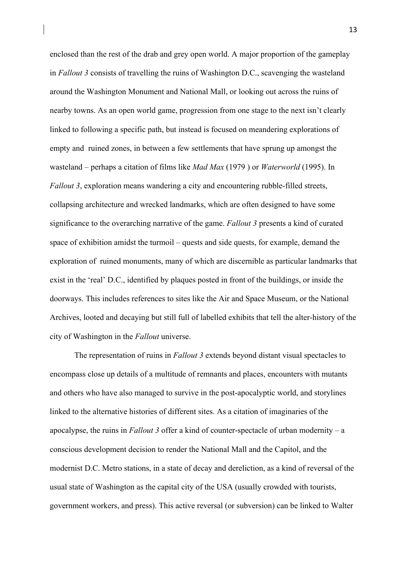enclosed than the rest of the drab and grey open world. A major proportion of the gameplay in *Fallout 3* consists of travelling the ruins of Washington D.C., scavenging the wasteland around the Washington Monument and National Mall, or looking out across the ruins of nearby towns. As an open world game, progression from one stage to the next isn't clearly linked to following a specific path, but instead is focused on meandering explorations of empty and ruined zones, in between a few settlements that have sprung up amongst the wasteland – perhaps a citation of films like *Mad Max* (1979 ) or *Waterworld* (1995). In *Fallout 3*, exploration means wandering a city and encountering rubble-filled streets, collapsing architecture and wrecked landmarks, which are often designed to have some significance to the overarching narrative of the game. *Fallout 3* presents a kind of curated space of exhibition amidst the turmoil – quests and side quests, for example, demand the exploration of ruined monuments, many of which are discernible as particular landmarks that exist in the 'real' D.C., identified by plaques posted in front of the buildings, or inside the doorways. This includes references to sites like the Air and Space Museum, or the National Archives, looted and decaying but still full of labelled exhibits that tell the alter-history of the city of Washington in the *Fallout* universe.

The representation of ruins in *Fallout 3* extends beyond distant visual spectacles to encompass close up details of a multitude of remnants and places, encounters with mutants and others who have also managed to survive in the post-apocalyptic world, and storylines linked to the alternative histories of different sites. As a citation of imaginaries of the apocalypse, the ruins in *Fallout 3* offer a kind of counter-spectacle of urban modernity – a conscious development decision to render the National Mall and the Capitol, and the modernist D.C. Metro stations, in a state of decay and dereliction, as a kind of reversal of the usual state of Washington as the capital city of the USA (usually crowded with tourists, government workers, and press). This active reversal (or subversion) can be linked to Walter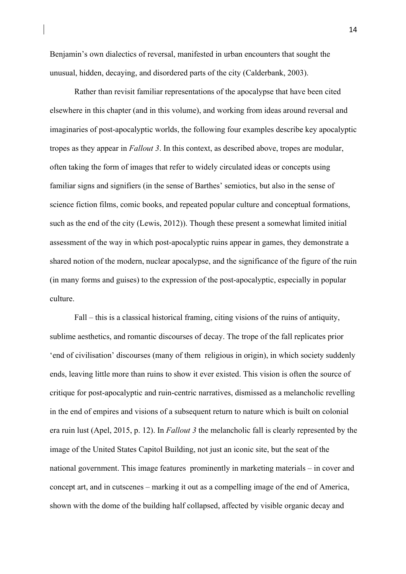Benjamin's own dialectics of reversal, manifested in urban encounters that sought the unusual, hidden, decaying, and disordered parts of the city (Calderbank, 2003).

Rather than revisit familiar representations of the apocalypse that have been cited elsewhere in this chapter (and in this volume), and working from ideas around reversal and imaginaries of post-apocalyptic worlds, the following four examples describe key apocalyptic tropes as they appear in *Fallout 3*. In this context, as described above, tropes are modular, often taking the form of images that refer to widely circulated ideas or concepts using familiar signs and signifiers (in the sense of Barthes' semiotics, but also in the sense of science fiction films, comic books, and repeated popular culture and conceptual formations, such as the end of the city (Lewis, 2012)). Though these present a somewhat limited initial assessment of the way in which post-apocalyptic ruins appear in games, they demonstrate a shared notion of the modern, nuclear apocalypse, and the significance of the figure of the ruin (in many forms and guises) to the expression of the post-apocalyptic, especially in popular culture.

Fall – this is a classical historical framing, citing visions of the ruins of antiquity, sublime aesthetics, and romantic discourses of decay. The trope of the fall replicates prior 'end of civilisation' discourses (many of them religious in origin), in which society suddenly ends, leaving little more than ruins to show it ever existed. This vision is often the source of critique for post-apocalyptic and ruin-centric narratives, dismissed as a melancholic revelling in the end of empires and visions of a subsequent return to nature which is built on colonial era ruin lust (Apel, 2015, p. 12). In *Fallout 3* the melancholic fall is clearly represented by the image of the United States Capitol Building, not just an iconic site, but the seat of the national government. This image features prominently in marketing materials – in cover and concept art, and in cutscenes – marking it out as a compelling image of the end of America, shown with the dome of the building half collapsed, affected by visible organic decay and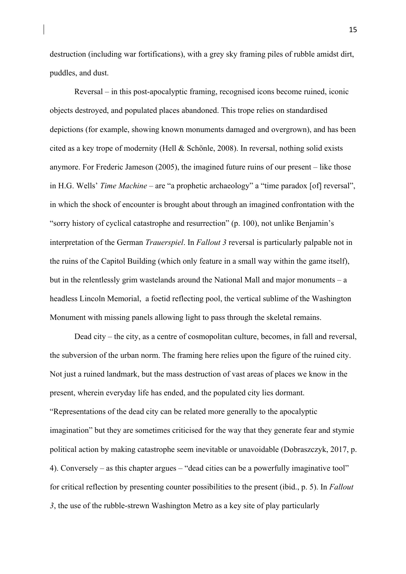destruction (including war fortifications), with a grey sky framing piles of rubble amidst dirt, puddles, and dust.

Reversal – in this post-apocalyptic framing, recognised icons become ruined, iconic objects destroyed, and populated places abandoned. This trope relies on standardised depictions (for example, showing known monuments damaged and overgrown), and has been cited as a key trope of modernity (Hell & Schönle, 2008). In reversal, nothing solid exists anymore. For Frederic Jameson (2005), the imagined future ruins of our present – like those in H.G. Wells' *Time Machine* – are "a prophetic archaeology" a "time paradox [of] reversal", in which the shock of encounter is brought about through an imagined confrontation with the "sorry history of cyclical catastrophe and resurrection" (p. 100), not unlike Benjamin's interpretation of the German *Trauerspiel*. In *Fallout 3* reversal is particularly palpable not in the ruins of the Capitol Building (which only feature in a small way within the game itself), but in the relentlessly grim wastelands around the National Mall and major monuments – a headless Lincoln Memorial, a foetid reflecting pool, the vertical sublime of the Washington Monument with missing panels allowing light to pass through the skeletal remains.

Dead city – the city, as a centre of cosmopolitan culture, becomes, in fall and reversal, the subversion of the urban norm. The framing here relies upon the figure of the ruined city. Not just a ruined landmark, but the mass destruction of vast areas of places we know in the present, wherein everyday life has ended, and the populated city lies dormant. "Representations of the dead city can be related more generally to the apocalyptic imagination" but they are sometimes criticised for the way that they generate fear and stymie political action by making catastrophe seem inevitable or unavoidable (Dobraszczyk, 2017, p. 4). Conversely – as this chapter argues – "dead cities can be a powerfully imaginative tool" for critical reflection by presenting counter possibilities to the present (ibid., p. 5). In *Fallout 3*, the use of the rubble-strewn Washington Metro as a key site of play particularly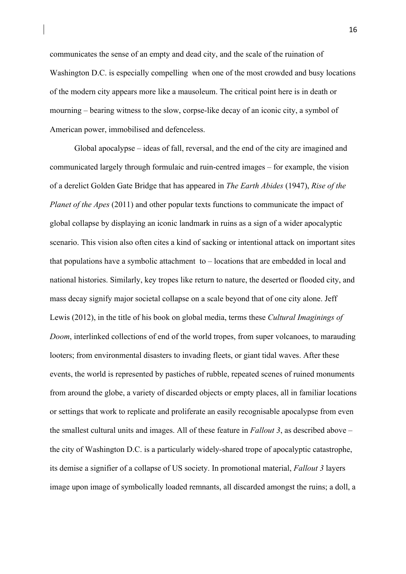communicates the sense of an empty and dead city, and the scale of the ruination of Washington D.C. is especially compelling when one of the most crowded and busy locations of the modern city appears more like a mausoleum. The critical point here is in death or mourning – bearing witness to the slow, corpse-like decay of an iconic city, a symbol of American power, immobilised and defenceless.

Global apocalypse – ideas of fall, reversal, and the end of the city are imagined and communicated largely through formulaic and ruin-centred images – for example, the vision of a derelict Golden Gate Bridge that has appeared in *The Earth Abides* (1947), *Rise of the Planet of the Apes* (2011) and other popular texts functions to communicate the impact of global collapse by displaying an iconic landmark in ruins as a sign of a wider apocalyptic scenario. This vision also often cites a kind of sacking or intentional attack on important sites that populations have a symbolic attachment to – locations that are embedded in local and national histories. Similarly, key tropes like return to nature, the deserted or flooded city, and mass decay signify major societal collapse on a scale beyond that of one city alone. Jeff Lewis (2012), in the title of his book on global media, terms these *Cultural Imaginings of Doom*, interlinked collections of end of the world tropes, from super volcanoes, to marauding looters; from environmental disasters to invading fleets, or giant tidal waves. After these events, the world is represented by pastiches of rubble, repeated scenes of ruined monuments from around the globe, a variety of discarded objects or empty places, all in familiar locations or settings that work to replicate and proliferate an easily recognisable apocalypse from even the smallest cultural units and images. All of these feature in *Fallout 3*, as described above – the city of Washington D.C. is a particularly widely-shared trope of apocalyptic catastrophe, its demise a signifier of a collapse of US society. In promotional material, *Fallout 3* layers image upon image of symbolically loaded remnants, all discarded amongst the ruins; a doll, a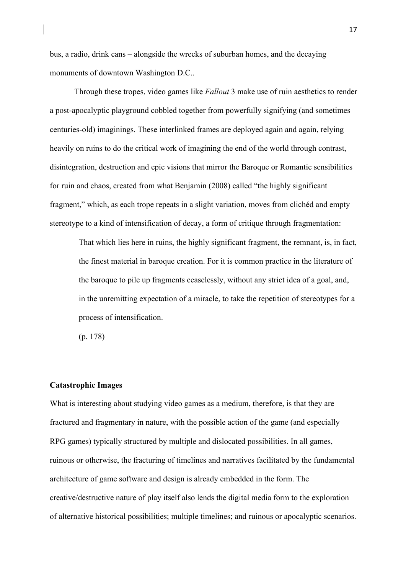bus, a radio, drink cans – alongside the wrecks of suburban homes, and the decaying monuments of downtown Washington D.C..

Through these tropes, video games like *Fallout* 3 make use of ruin aesthetics to render a post-apocalyptic playground cobbled together from powerfully signifying (and sometimes centuries-old) imaginings. These interlinked frames are deployed again and again, relying heavily on ruins to do the critical work of imagining the end of the world through contrast, disintegration, destruction and epic visions that mirror the Baroque or Romantic sensibilities for ruin and chaos, created from what Benjamin (2008) called "the highly significant fragment," which, as each trope repeats in a slight variation, moves from clichéd and empty stereotype to a kind of intensification of decay, a form of critique through fragmentation:

That which lies here in ruins, the highly significant fragment, the remnant, is, in fact, the finest material in baroque creation. For it is common practice in the literature of the baroque to pile up fragments ceaselessly, without any strict idea of a goal, and, in the unremitting expectation of a miracle, to take the repetition of stereotypes for a process of intensification.

(p. 178)

#### **Catastrophic Images**

What is interesting about studying video games as a medium, therefore, is that they are fractured and fragmentary in nature, with the possible action of the game (and especially RPG games) typically structured by multiple and dislocated possibilities. In all games, ruinous or otherwise, the fracturing of timelines and narratives facilitated by the fundamental architecture of game software and design is already embedded in the form. The creative/destructive nature of play itself also lends the digital media form to the exploration of alternative historical possibilities; multiple timelines; and ruinous or apocalyptic scenarios.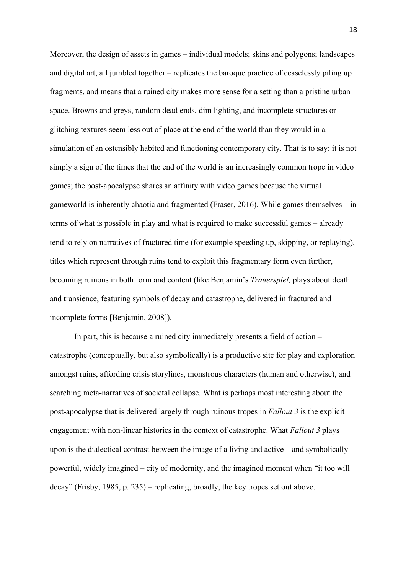Moreover, the design of assets in games – individual models; skins and polygons; landscapes and digital art, all jumbled together – replicates the baroque practice of ceaselessly piling up fragments, and means that a ruined city makes more sense for a setting than a pristine urban space. Browns and greys, random dead ends, dim lighting, and incomplete structures or glitching textures seem less out of place at the end of the world than they would in a simulation of an ostensibly habited and functioning contemporary city. That is to say: it is not simply a sign of the times that the end of the world is an increasingly common trope in video games; the post-apocalypse shares an affinity with video games because the virtual gameworld is inherently chaotic and fragmented (Fraser, 2016). While games themselves – in terms of what is possible in play and what is required to make successful games – already tend to rely on narratives of fractured time (for example speeding up, skipping, or replaying), titles which represent through ruins tend to exploit this fragmentary form even further, becoming ruinous in both form and content (like Benjamin's *Trauerspiel,* plays about death and transience, featuring symbols of decay and catastrophe, delivered in fractured and incomplete forms [Benjamin, 2008]).

In part, this is because a ruined city immediately presents a field of action – catastrophe (conceptually, but also symbolically) is a productive site for play and exploration amongst ruins, affording crisis storylines, monstrous characters (human and otherwise), and searching meta-narratives of societal collapse. What is perhaps most interesting about the post-apocalypse that is delivered largely through ruinous tropes in *Fallout 3* is the explicit engagement with non-linear histories in the context of catastrophe. What *Fallout 3* plays upon is the dialectical contrast between the image of a living and active – and symbolically powerful, widely imagined – city of modernity, and the imagined moment when "it too will decay" (Frisby, 1985, p. 235) – replicating, broadly, the key tropes set out above.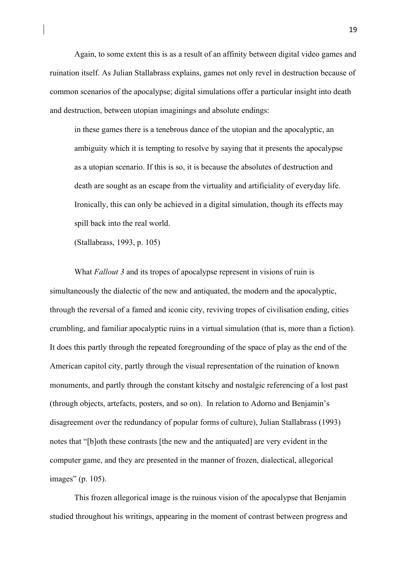Again, to some extent this is as a result of an affinity between digital video games and ruination itself. As Julian Stallabrass explains, games not only revel in destruction because of common scenarios of the apocalypse; digital simulations offer a particular insight into death and destruction, between utopian imaginings and absolute endings:

in these games there is a tenebrous dance of the utopian and the apocalyptic, an ambiguity which it is tempting to resolve by saying that it presents the apocalypse as a utopian scenario. If this is so, it is because the absolutes of destruction and death are sought as an escape from the virtuality and artificiality of everyday life. Ironically, this can only be achieved in a digital simulation, though its effects may spill back into the real world.

(Stallabrass, 1993, p. 105)

What *Fallout 3* and its tropes of apocalypse represent in visions of ruin is simultaneously the dialectic of the new and antiquated, the modern and the apocalyptic, through the reversal of a famed and iconic city, reviving tropes of civilisation ending, cities crumbling, and familiar apocalyptic ruins in a virtual simulation (that is, more than a fiction). It does this partly through the repeated foregrounding of the space of play as the end of the American capitol city, partly through the visual representation of the ruination of known monuments, and partly through the constant kitschy and nostalgic referencing of a lost past (through objects, artefacts, posters, and so on). In relation to Adorno and Benjamin's disagreement over the redundancy of popular forms of culture), Julian Stallabrass (1993) notes that "[b]oth these contrasts [the new and the antiquated] are very evident in the computer game, and they are presented in the manner of frozen, dialectical, allegorical images" (p. 105).

This frozen allegorical image is the ruinous vision of the apocalypse that Benjamin studied throughout his writings, appearing in the moment of contrast between progress and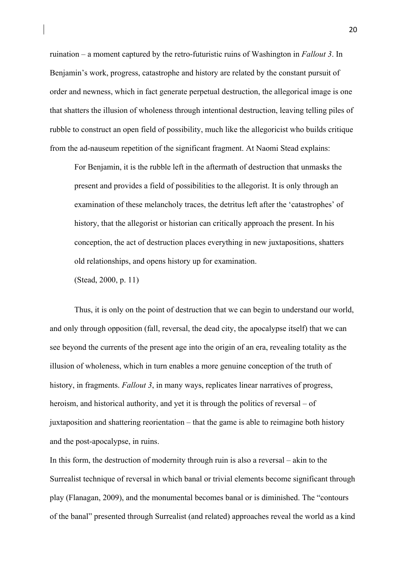ruination – a moment captured by the retro-futuristic ruins of Washington in *Fallout 3*. In Benjamin's work, progress, catastrophe and history are related by the constant pursuit of order and newness, which in fact generate perpetual destruction, the allegorical image is one that shatters the illusion of wholeness through intentional destruction, leaving telling piles of rubble to construct an open field of possibility, much like the allegoricist who builds critique from the ad-nauseum repetition of the significant fragment. At Naomi Stead explains:

For Benjamin, it is the rubble left in the aftermath of destruction that unmasks the present and provides a field of possibilities to the allegorist. It is only through an examination of these melancholy traces, the detritus left after the 'catastrophes' of history, that the allegorist or historian can critically approach the present. In his conception, the act of destruction places everything in new juxtapositions, shatters old relationships, and opens history up for examination.

(Stead, 2000, p. 11)

Thus, it is only on the point of destruction that we can begin to understand our world, and only through opposition (fall, reversal, the dead city, the apocalypse itself) that we can see beyond the currents of the present age into the origin of an era, revealing totality as the illusion of wholeness, which in turn enables a more genuine conception of the truth of history, in fragments. *Fallout 3*, in many ways, replicates linear narratives of progress, heroism, and historical authority, and yet it is through the politics of reversal – of juxtaposition and shattering reorientation – that the game is able to reimagine both history and the post-apocalypse, in ruins.

In this form, the destruction of modernity through ruin is also a reversal – akin to the Surrealist technique of reversal in which banal or trivial elements become significant through play (Flanagan, 2009), and the monumental becomes banal or is diminished. The "contours of the banal" presented through Surrealist (and related) approaches reveal the world as a kind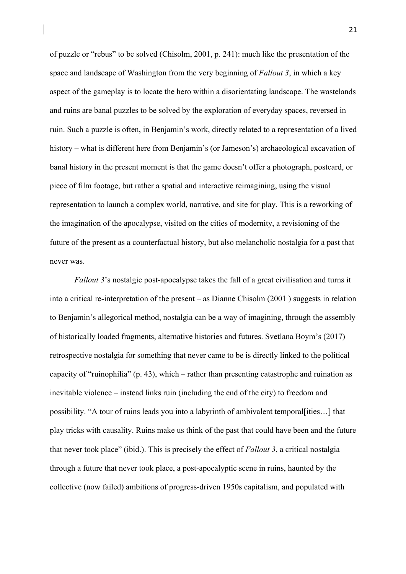of puzzle or "rebus" to be solved (Chisolm, 2001, p. 241): much like the presentation of the space and landscape of Washington from the very beginning of *Fallout 3*, in which a key aspect of the gameplay is to locate the hero within a disorientating landscape. The wastelands and ruins are banal puzzles to be solved by the exploration of everyday spaces, reversed in ruin. Such a puzzle is often, in Benjamin's work, directly related to a representation of a lived history – what is different here from Benjamin's (or Jameson's) archaeological excavation of banal history in the present moment is that the game doesn't offer a photograph, postcard, or piece of film footage, but rather a spatial and interactive reimagining, using the visual representation to launch a complex world, narrative, and site for play. This is a reworking of the imagination of the apocalypse, visited on the cities of modernity, a revisioning of the future of the present as a counterfactual history, but also melancholic nostalgia for a past that never was.

*Fallout 3*'s nostalgic post-apocalypse takes the fall of a great civilisation and turns it into a critical re-interpretation of the present – as Dianne Chisolm (2001 ) suggests in relation to Benjamin's allegorical method, nostalgia can be a way of imagining, through the assembly of historically loaded fragments, alternative histories and futures. Svetlana Boym's (2017) retrospective nostalgia for something that never came to be is directly linked to the political capacity of "ruinophilia" (p. 43), which – rather than presenting catastrophe and ruination as inevitable violence – instead links ruin (including the end of the city) to freedom and possibility. "A tour of ruins leads you into a labyrinth of ambivalent temporal[ities…] that play tricks with causality. Ruins make us think of the past that could have been and the future that never took place" (ibid.). This is precisely the effect of *Fallout 3*, a critical nostalgia through a future that never took place, a post-apocalyptic scene in ruins, haunted by the collective (now failed) ambitions of progress-driven 1950s capitalism, and populated with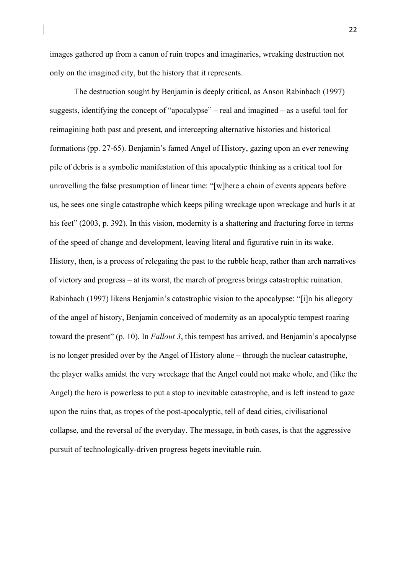images gathered up from a canon of ruin tropes and imaginaries, wreaking destruction not only on the imagined city, but the history that it represents.

The destruction sought by Benjamin is deeply critical, as Anson Rabinbach (1997) suggests, identifying the concept of "apocalypse" – real and imagined – as a useful tool for reimagining both past and present, and intercepting alternative histories and historical formations (pp. 27-65). Benjamin's famed Angel of History, gazing upon an ever renewing pile of debris is a symbolic manifestation of this apocalyptic thinking as a critical tool for unravelling the false presumption of linear time: "[w]here a chain of events appears before us, he sees one single catastrophe which keeps piling wreckage upon wreckage and hurls it at his feet" (2003, p. 392). In this vision, modernity is a shattering and fracturing force in terms of the speed of change and development, leaving literal and figurative ruin in its wake. History, then, is a process of relegating the past to the rubble heap, rather than arch narratives of victory and progress – at its worst, the march of progress brings catastrophic ruination. Rabinbach (1997) likens Benjamin's catastrophic vision to the apocalypse: "[i]n his allegory of the angel of history, Benjamin conceived of modernity as an apocalyptic tempest roaring toward the present" (p. 10). In *Fallout 3*, this tempest has arrived, and Benjamin's apocalypse is no longer presided over by the Angel of History alone – through the nuclear catastrophe, the player walks amidst the very wreckage that the Angel could not make whole, and (like the Angel) the hero is powerless to put a stop to inevitable catastrophe, and is left instead to gaze upon the ruins that, as tropes of the post-apocalyptic, tell of dead cities, civilisational collapse, and the reversal of the everyday. The message, in both cases, is that the aggressive pursuit of technologically-driven progress begets inevitable ruin.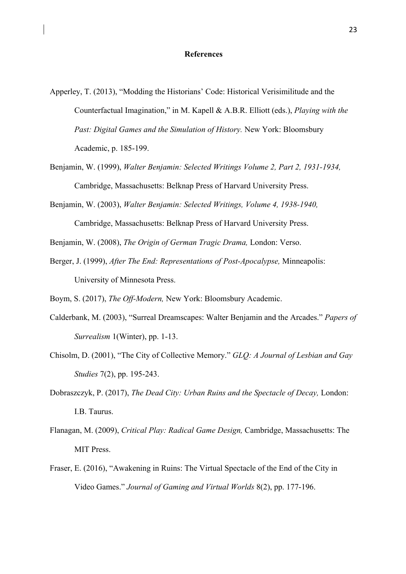#### **References**

- Apperley, T. (2013), "Modding the Historians' Code: Historical Verisimilitude and the Counterfactual Imagination," in M. Kapell & A.B.R. Elliott (eds.), *Playing with the Past: Digital Games and the Simulation of History.* New York: Bloomsbury Academic, p. 185-199.
- Benjamin, W. (1999), *Walter Benjamin: Selected Writings Volume 2, Part 2, 1931-1934,*  Cambridge, Massachusetts: Belknap Press of Harvard University Press.
- Benjamin, W. (2003), *Walter Benjamin: Selected Writings, Volume 4, 1938-1940,*  Cambridge, Massachusetts: Belknap Press of Harvard University Press.
- Benjamin, W. (2008), *The Origin of German Tragic Drama,* London: Verso.
- Berger, J. (1999), *After The End: Representations of Post-Apocalypse,* Minneapolis: University of Minnesota Press.
- Boym, S. (2017), *The Off-Modern,* New York: Bloomsbury Academic.
- Calderbank, M. (2003), "Surreal Dreamscapes: Walter Benjamin and the Arcades." *Papers of Surrealism* 1(Winter), pp. 1-13.
- Chisolm, D. (2001), "The City of Collective Memory." *GLQ: A Journal of Lesbian and Gay Studies* 7(2), pp. 195-243.
- Dobraszczyk, P. (2017), *The Dead City: Urban Ruins and the Spectacle of Decay,* London: I.B. Taurus.
- Flanagan, M. (2009), *Critical Play: Radical Game Design,* Cambridge, Massachusetts: The MIT Press.
- Fraser, E. (2016), "Awakening in Ruins: The Virtual Spectacle of the End of the City in Video Games." *Journal of Gaming and Virtual Worlds* 8(2), pp. 177-196.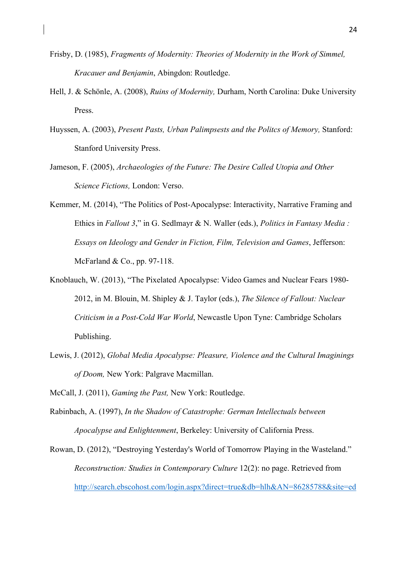- Frisby, D. (1985), *Fragments of Modernity: Theories of Modernity in the Work of Simmel, Kracauer and Benjamin*, Abingdon: Routledge.
- Hell, J. & Schönle, A. (2008), *Ruins of Modernity,* Durham, North Carolina: Duke University Press.
- Huyssen, A. (2003), *Present Pasts, Urban Palimpsests and the Politcs of Memory,* Stanford: Stanford University Press.
- Jameson, F. (2005), *Archaeologies of the Future: The Desire Called Utopia and Other Science Fictions,* London: Verso.
- Kemmer, M. (2014), "The Politics of Post-Apocalypse: Interactivity, Narrative Framing and Ethics in *Fallout 3*," in G. Sedlmayr & N. Waller (eds.), *Politics in Fantasy Media : Essays on Ideology and Gender in Fiction, Film, Television and Games*, Jefferson: McFarland & Co., pp. 97-118.
- Knoblauch, W. (2013), "The Pixelated Apocalypse: Video Games and Nuclear Fears 1980- 2012, in M. Blouin, M. Shipley & J. Taylor (eds.), *The Silence of Fallout: Nuclear Criticism in a Post-Cold War World*, Newcastle Upon Tyne: Cambridge Scholars Publishing.
- Lewis, J. (2012), *Global Media Apocalypse: Pleasure, Violence and the Cultural Imaginings of Doom,* New York: Palgrave Macmillan.
- McCall, J. (2011), *Gaming the Past,* New York: Routledge.
- Rabinbach, A. (1997), *In the Shadow of Catastrophe: German Intellectuals between Apocalypse and Enlightenment*, Berkeley: University of California Press.
- Rowan, D. (2012), "Destroying Yesterday's World of Tomorrow Playing in the Wasteland." *Reconstruction: Studies in Contemporary Culture* 12(2): no page. Retrieved from http://search.ebscohost.com/login.aspx?direct=true&db=hlh&AN=86285788&site=ed